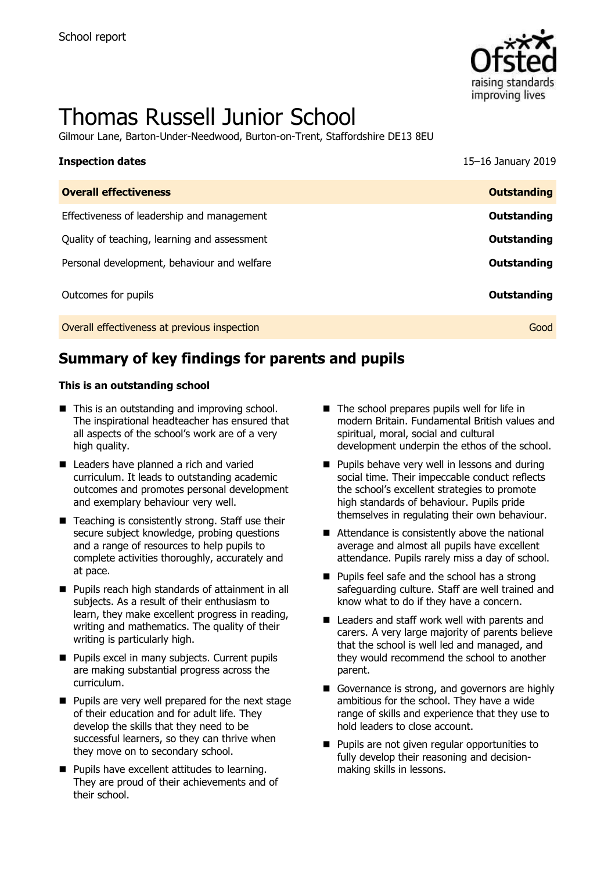

# Thomas Russell Junior School

Gilmour Lane, Barton-Under-Needwood, Burton-on-Trent, Staffordshire DE13 8EU

| <b>Inspection dates</b>                      | 15-16 January 2019 |
|----------------------------------------------|--------------------|
| <b>Overall effectiveness</b>                 | <b>Outstanding</b> |
| Effectiveness of leadership and management   | Outstanding        |
| Quality of teaching, learning and assessment | Outstanding        |
| Personal development, behaviour and welfare  | Outstanding        |
| Outcomes for pupils                          | Outstanding        |
| Overall effectiveness at previous inspection | Good               |

## **Summary of key findings for parents and pupils**

### **This is an outstanding school**

- This is an outstanding and improving school. The inspirational headteacher has ensured that all aspects of the school's work are of a very high quality.
- Leaders have planned a rich and varied curriculum. It leads to outstanding academic outcomes and promotes personal development and exemplary behaviour very well.
- Teaching is consistently strong. Staff use their secure subject knowledge, probing questions and a range of resources to help pupils to complete activities thoroughly, accurately and at pace.
- **Pupils reach high standards of attainment in all** subjects. As a result of their enthusiasm to learn, they make excellent progress in reading, writing and mathematics. The quality of their writing is particularly high.
- **Pupils excel in many subjects. Current pupils** are making substantial progress across the curriculum.
- **Pupils are very well prepared for the next stage** of their education and for adult life. They develop the skills that they need to be successful learners, so they can thrive when they move on to secondary school.
- **Pupils have excellent attitudes to learning.** They are proud of their achievements and of their school.
- $\blacksquare$  The school prepares pupils well for life in modern Britain. Fundamental British values and spiritual, moral, social and cultural development underpin the ethos of the school.
- **Pupils behave very well in lessons and during** social time. Their impeccable conduct reflects the school's excellent strategies to promote high standards of behaviour. Pupils pride themselves in regulating their own behaviour.
- Attendance is consistently above the national average and almost all pupils have excellent attendance. Pupils rarely miss a day of school.
- $\blacksquare$  Pupils feel safe and the school has a strong safeguarding culture. Staff are well trained and know what to do if they have a concern.
- Leaders and staff work well with parents and carers. A very large majority of parents believe that the school is well led and managed, and they would recommend the school to another parent.
- Governance is strong, and governors are highly ambitious for the school. They have a wide range of skills and experience that they use to hold leaders to close account.
- **Pupils are not given regular opportunities to** fully develop their reasoning and decisionmaking skills in lessons.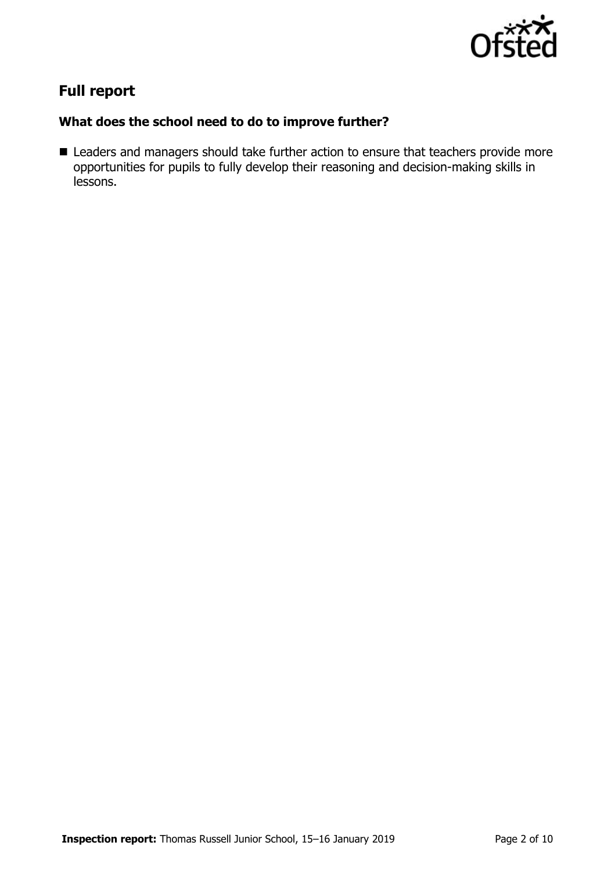

# **Full report**

### **What does the school need to do to improve further?**

■ Leaders and managers should take further action to ensure that teachers provide more opportunities for pupils to fully develop their reasoning and decision-making skills in lessons.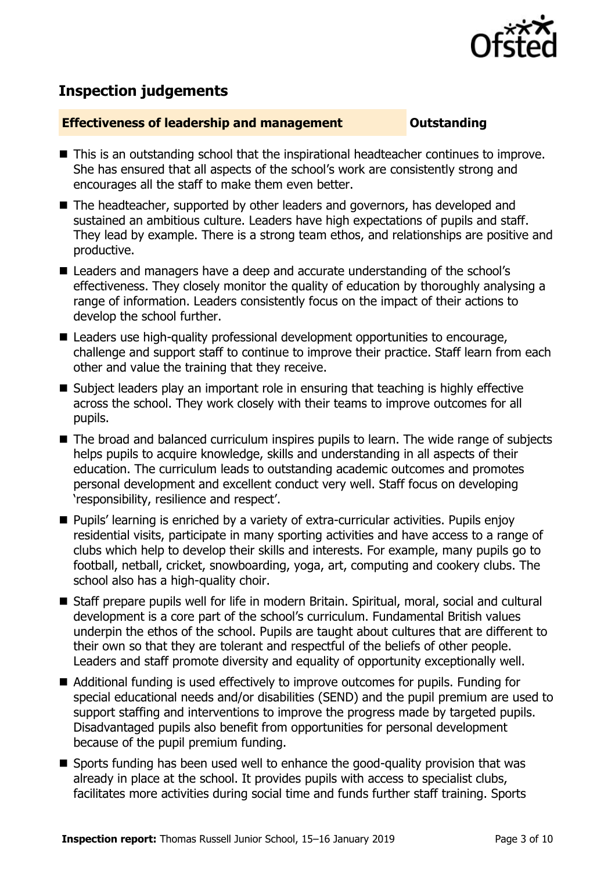

# **Inspection judgements**

### **Effectiveness of leadership and management Constanding**

- This is an outstanding school that the inspirational headteacher continues to improve. She has ensured that all aspects of the school's work are consistently strong and encourages all the staff to make them even better.
- The headteacher, supported by other leaders and governors, has developed and sustained an ambitious culture. Leaders have high expectations of pupils and staff. They lead by example. There is a strong team ethos, and relationships are positive and productive.
- Leaders and managers have a deep and accurate understanding of the school's effectiveness. They closely monitor the quality of education by thoroughly analysing a range of information. Leaders consistently focus on the impact of their actions to develop the school further.
- Leaders use high-quality professional development opportunities to encourage, challenge and support staff to continue to improve their practice. Staff learn from each other and value the training that they receive.
- Subject leaders play an important role in ensuring that teaching is highly effective across the school. They work closely with their teams to improve outcomes for all pupils.
- The broad and balanced curriculum inspires pupils to learn. The wide range of subjects helps pupils to acquire knowledge, skills and understanding in all aspects of their education. The curriculum leads to outstanding academic outcomes and promotes personal development and excellent conduct very well. Staff focus on developing 'responsibility, resilience and respect'.
- **Pupils' learning is enriched by a variety of extra-curricular activities. Pupils enjoy** residential visits, participate in many sporting activities and have access to a range of clubs which help to develop their skills and interests. For example, many pupils go to football, netball, cricket, snowboarding, yoga, art, computing and cookery clubs. The school also has a high-quality choir.
- Staff prepare pupils well for life in modern Britain. Spiritual, moral, social and cultural development is a core part of the school's curriculum. Fundamental British values underpin the ethos of the school. Pupils are taught about cultures that are different to their own so that they are tolerant and respectful of the beliefs of other people. Leaders and staff promote diversity and equality of opportunity exceptionally well.
- Additional funding is used effectively to improve outcomes for pupils. Funding for special educational needs and/or disabilities (SEND) and the pupil premium are used to support staffing and interventions to improve the progress made by targeted pupils. Disadvantaged pupils also benefit from opportunities for personal development because of the pupil premium funding.
- Sports funding has been used well to enhance the good-quality provision that was already in place at the school. It provides pupils with access to specialist clubs, facilitates more activities during social time and funds further staff training. Sports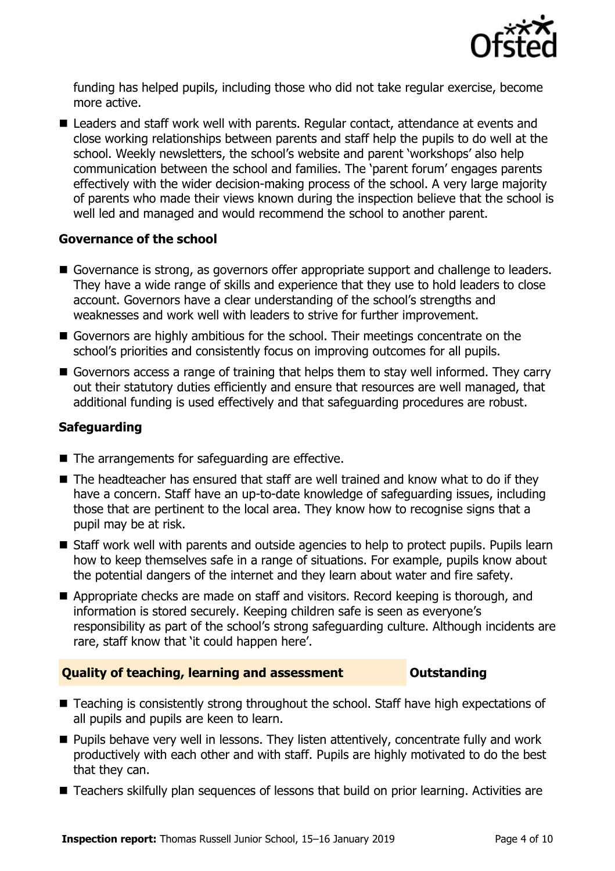

funding has helped pupils, including those who did not take regular exercise, become more active.

■ Leaders and staff work well with parents. Regular contact, attendance at events and close working relationships between parents and staff help the pupils to do well at the school. Weekly newsletters, the school's website and parent 'workshops' also help communication between the school and families. The 'parent forum' engages parents effectively with the wider decision-making process of the school. A very large majority of parents who made their views known during the inspection believe that the school is well led and managed and would recommend the school to another parent.

### **Governance of the school**

- Governance is strong, as governors offer appropriate support and challenge to leaders. They have a wide range of skills and experience that they use to hold leaders to close account. Governors have a clear understanding of the school's strengths and weaknesses and work well with leaders to strive for further improvement.
- Governors are highly ambitious for the school. Their meetings concentrate on the school's priorities and consistently focus on improving outcomes for all pupils.
- Governors access a range of training that helps them to stay well informed. They carry out their statutory duties efficiently and ensure that resources are well managed, that additional funding is used effectively and that safeguarding procedures are robust.

### **Safeguarding**

- $\blacksquare$  The arrangements for safeguarding are effective.
- $\blacksquare$  The headteacher has ensured that staff are well trained and know what to do if they have a concern. Staff have an up-to-date knowledge of safeguarding issues, including those that are pertinent to the local area. They know how to recognise signs that a pupil may be at risk.
- Staff work well with parents and outside agencies to help to protect pupils. Pupils learn how to keep themselves safe in a range of situations. For example, pupils know about the potential dangers of the internet and they learn about water and fire safety.
- Appropriate checks are made on staff and visitors. Record keeping is thorough, and information is stored securely. Keeping children safe is seen as everyone's responsibility as part of the school's strong safeguarding culture. Although incidents are rare, staff know that 'it could happen here'.

### **Quality of teaching, learning and assessment Outstanding**

- Teaching is consistently strong throughout the school. Staff have high expectations of all pupils and pupils are keen to learn.
- **Pupils behave very well in lessons. They listen attentively, concentrate fully and work** productively with each other and with staff. Pupils are highly motivated to do the best that they can.
- Teachers skilfully plan sequences of lessons that build on prior learning. Activities are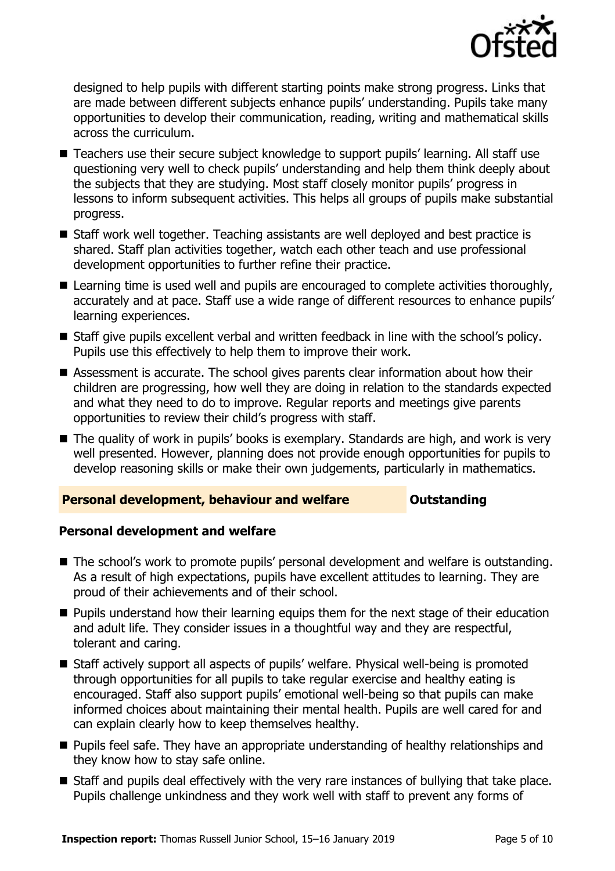

designed to help pupils with different starting points make strong progress. Links that are made between different subjects enhance pupils' understanding. Pupils take many opportunities to develop their communication, reading, writing and mathematical skills across the curriculum.

- Teachers use their secure subject knowledge to support pupils' learning. All staff use questioning very well to check pupils' understanding and help them think deeply about the subjects that they are studying. Most staff closely monitor pupils' progress in lessons to inform subsequent activities. This helps all groups of pupils make substantial progress.
- Staff work well together. Teaching assistants are well deploved and best practice is shared. Staff plan activities together, watch each other teach and use professional development opportunities to further refine their practice.
- Learning time is used well and pupils are encouraged to complete activities thoroughly, accurately and at pace. Staff use a wide range of different resources to enhance pupils' learning experiences.
- Staff give pupils excellent verbal and written feedback in line with the school's policy. Pupils use this effectively to help them to improve their work.
- Assessment is accurate. The school gives parents clear information about how their children are progressing, how well they are doing in relation to the standards expected and what they need to do to improve. Regular reports and meetings give parents opportunities to review their child's progress with staff.
- The quality of work in pupils' books is exemplary. Standards are high, and work is very well presented. However, planning does not provide enough opportunities for pupils to develop reasoning skills or make their own judgements, particularly in mathematics.

### **Personal development, behaviour and welfare <b>COU Outstanding**

### **Personal development and welfare**

- The school's work to promote pupils' personal development and welfare is outstanding. As a result of high expectations, pupils have excellent attitudes to learning. They are proud of their achievements and of their school.
- **Pupils understand how their learning equips them for the next stage of their education** and adult life. They consider issues in a thoughtful way and they are respectful, tolerant and caring.
- Staff actively support all aspects of pupils' welfare. Physical well-being is promoted through opportunities for all pupils to take regular exercise and healthy eating is encouraged. Staff also support pupils' emotional well-being so that pupils can make informed choices about maintaining their mental health. Pupils are well cared for and can explain clearly how to keep themselves healthy.
- **Pupils feel safe. They have an appropriate understanding of healthy relationships and** they know how to stay safe online.
- Staff and pupils deal effectively with the very rare instances of bullying that take place. Pupils challenge unkindness and they work well with staff to prevent any forms of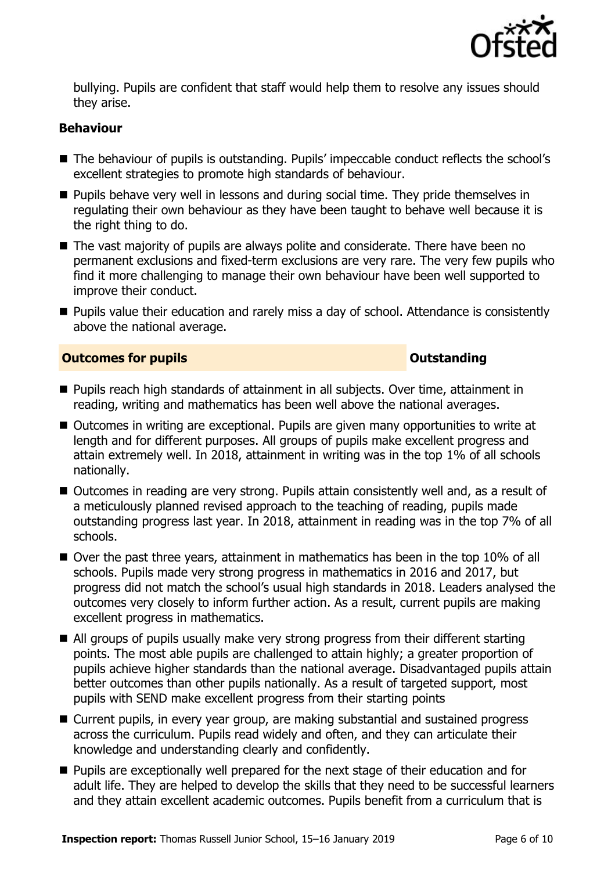

bullying. Pupils are confident that staff would help them to resolve any issues should they arise.

### **Behaviour**

- The behaviour of pupils is outstanding. Pupils' impeccable conduct reflects the school's excellent strategies to promote high standards of behaviour.
- **Pupils behave very well in lessons and during social time. They pride themselves in** regulating their own behaviour as they have been taught to behave well because it is the right thing to do.
- The vast majority of pupils are always polite and considerate. There have been no permanent exclusions and fixed-term exclusions are very rare. The very few pupils who find it more challenging to manage their own behaviour have been well supported to improve their conduct.
- **Pupils value their education and rarely miss a day of school. Attendance is consistently** above the national average.

### **Outcomes for pupils Outstanding**

- Pupils reach high standards of attainment in all subjects. Over time, attainment in reading, writing and mathematics has been well above the national averages.
- Outcomes in writing are exceptional. Pupils are given many opportunities to write at length and for different purposes. All groups of pupils make excellent progress and attain extremely well. In 2018, attainment in writing was in the top 1% of all schools nationally.
- Outcomes in reading are very strong. Pupils attain consistently well and, as a result of a meticulously planned revised approach to the teaching of reading, pupils made outstanding progress last year. In 2018, attainment in reading was in the top 7% of all schools.
- Over the past three years, attainment in mathematics has been in the top 10% of all schools. Pupils made very strong progress in mathematics in 2016 and 2017, but progress did not match the school's usual high standards in 2018. Leaders analysed the outcomes very closely to inform further action. As a result, current pupils are making excellent progress in mathematics.
- All groups of pupils usually make very strong progress from their different starting points. The most able pupils are challenged to attain highly; a greater proportion of pupils achieve higher standards than the national average. Disadvantaged pupils attain better outcomes than other pupils nationally. As a result of targeted support, most pupils with SEND make excellent progress from their starting points
- Current pupils, in every year group, are making substantial and sustained progress across the curriculum. Pupils read widely and often, and they can articulate their knowledge and understanding clearly and confidently.
- **Pupils are exceptionally well prepared for the next stage of their education and for** adult life. They are helped to develop the skills that they need to be successful learners and they attain excellent academic outcomes. Pupils benefit from a curriculum that is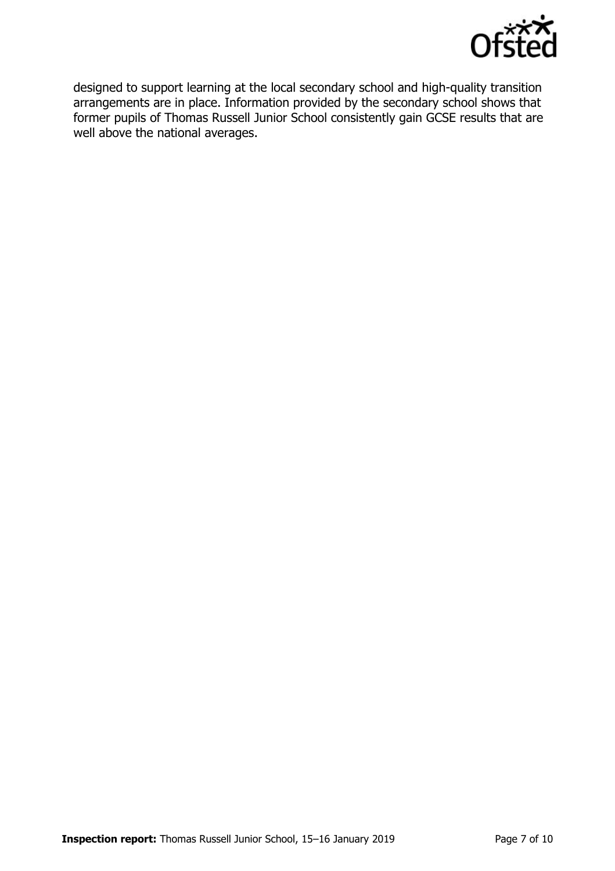

designed to support learning at the local secondary school and high-quality transition arrangements are in place. Information provided by the secondary school shows that former pupils of Thomas Russell Junior School consistently gain GCSE results that are well above the national averages.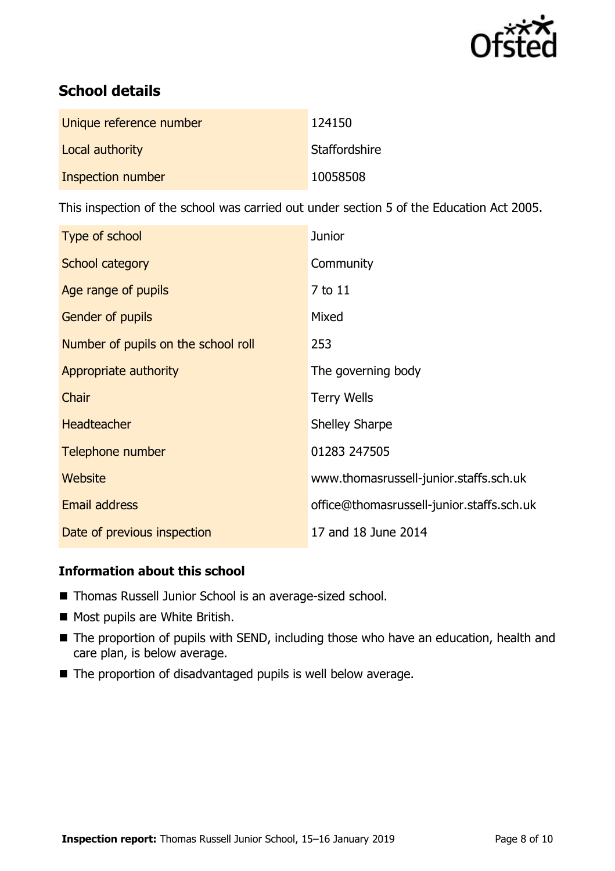

# **School details**

| Unique reference number | 124150        |
|-------------------------|---------------|
| Local authority         | Staffordshire |
| Inspection number       | 10058508      |

This inspection of the school was carried out under section 5 of the Education Act 2005.

| Type of school                      | Junior                                    |
|-------------------------------------|-------------------------------------------|
| School category                     | Community                                 |
| Age range of pupils                 | 7 to 11                                   |
| <b>Gender of pupils</b>             | Mixed                                     |
| Number of pupils on the school roll | 253                                       |
| Appropriate authority               | The governing body                        |
| Chair                               | <b>Terry Wells</b>                        |
| <b>Headteacher</b>                  | <b>Shelley Sharpe</b>                     |
| Telephone number                    | 01283 247505                              |
| <b>Website</b>                      | www.thomasrussell-junior.staffs.sch.uk    |
| <b>Email address</b>                | office@thomasrussell-junior.staffs.sch.uk |
| Date of previous inspection         | 17 and 18 June 2014                       |

### **Information about this school**

- Thomas Russell Junior School is an average-sized school.
- Most pupils are White British.
- The proportion of pupils with SEND, including those who have an education, health and care plan, is below average.
- The proportion of disadvantaged pupils is well below average.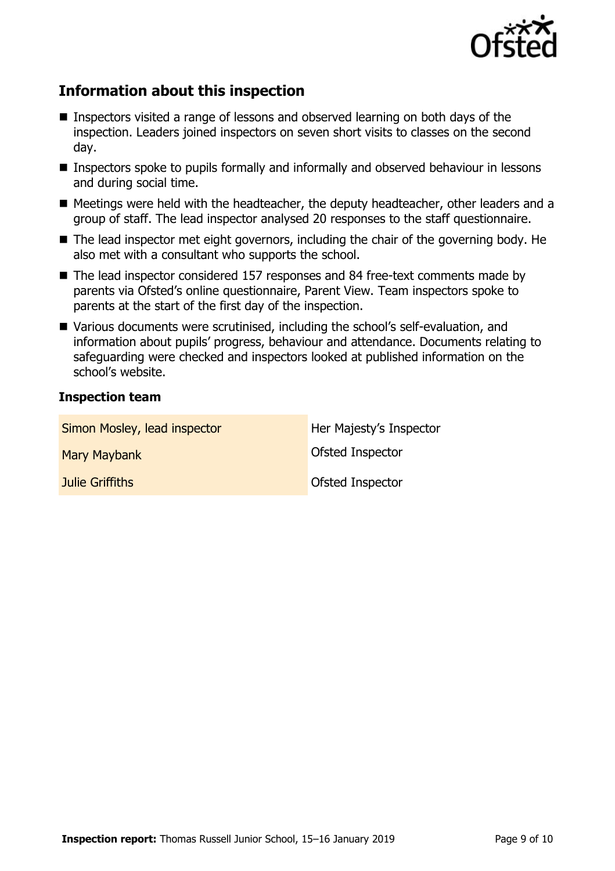

# **Information about this inspection**

- Inspectors visited a range of lessons and observed learning on both days of the inspection. Leaders joined inspectors on seven short visits to classes on the second day.
- Inspectors spoke to pupils formally and informally and observed behaviour in lessons and during social time.
- Meetings were held with the headteacher, the deputy headteacher, other leaders and a group of staff. The lead inspector analysed 20 responses to the staff questionnaire.
- The lead inspector met eight governors, including the chair of the governing body. He also met with a consultant who supports the school.
- The lead inspector considered 157 responses and 84 free-text comments made by parents via Ofsted's online questionnaire, Parent View. Team inspectors spoke to parents at the start of the first day of the inspection.
- Various documents were scrutinised, including the school's self-evaluation, and information about pupils' progress, behaviour and attendance. Documents relating to safeguarding were checked and inspectors looked at published information on the school's website.

### **Inspection team**

| Simon Mosley, lead inspector | Her Majesty's Inspector |
|------------------------------|-------------------------|
| Mary Maybank                 | <b>Ofsted Inspector</b> |
| Julie Griffiths              | Ofsted Inspector        |